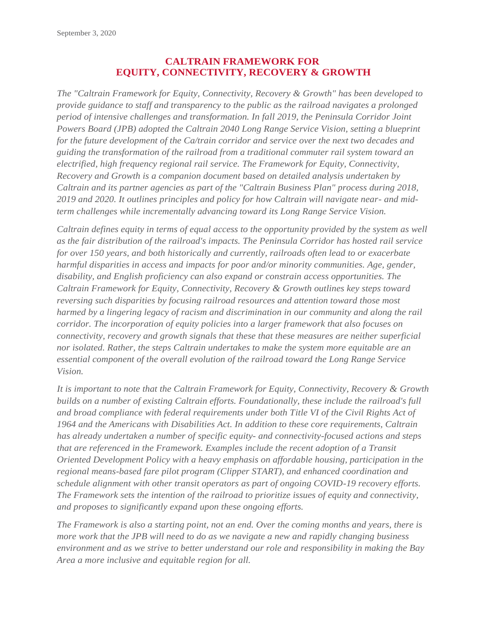## **CALTRAIN FRAMEWORK FOR EQUITY, CONNECTIVITY, RECOVERY & GROWTH**

*The "Caltrain Framework for Equity, Connectivity, Recovery & Growth" has been developed to provide guidance to staff and transparency to the public as the railroad navigates a prolonged period of intensive challenges and transformation. In fall 2019, the Peninsula Corridor Joint Powers Board (JPB) adopted the Caltrain 2040 Long Range Service Vision, setting a blueprint for the future development of the Ca/train corridor and service over the next two decades and guiding the transformation of the railroad from a traditional commuter rail system toward an electrified, high frequency regional rail service. The Framework for Equity, Connectivity, Recovery and Growth is a companion document based on detailed analysis undertaken by Caltrain and its partner agencies as part of the "Caltrain Business Plan" process during 2018, 2019 and 2020. It outlines principles and policy for how Caltrain will navigate near- and midterm challenges while incrementally advancing toward its Long Range Service Vision.*

*Caltrain defines equity in terms of equal access to the opportunity provided by the system as well as the fair distribution of the railroad's impacts. The Peninsula Corridor has hosted rail service for over 150 years, and both historically and currently, railroads often lead to or exacerbate harmful disparities in access and impacts for poor and/or minority communities. Age, gender, disability, and English proficiency can also expand or constrain access opportunities. The Caltrain Framework for Equity, Connectivity, Recovery & Growth outlines key steps toward reversing such disparities by focusing railroad resources and attention toward those most harmed by a lingering legacy of racism and discrimination in our community and along the rail corridor. The incorporation of equity policies into a larger framework that also focuses on connectivity, recovery and growth signals that these that these measures are neither superficial nor isolated. Rather, the steps Caltrain undertakes to make the system more equitable are an essential component of the overall evolution of the railroad toward the Long Range Service Vision.*

*It is important to note that the Caltrain Framework for Equity, Connectivity, Recovery & Growth builds on a number of existing Caltrain efforts. Foundationally, these include the railroad's full and broad compliance with federal requirements under both Title VI of the Civil Rights Act of 1964 and the Americans with Disabilities Act. In addition to these core requirements, Caltrain has already undertaken a number of specific equity- and connectivity-focused actions and steps that are referenced in the Framework. Examples include the recent adoption of a Transit Oriented Development Policy with a heavy emphasis on affordable housing, participation in the regional means-based fare pilot program (Clipper START), and enhanced coordination and schedule alignment with other transit operators as part of ongoing COVID-19 recovery efforts. The Framework sets the intention of the railroad to prioritize issues of equity and connectivity, and proposes to significantly expand upon these ongoing efforts.*

*The Framework is also a starting point, not an end. Over the coming months and years, there is more work that the JPB will need to do as we navigate a new and rapidly changing business environment and as we strive to better understand our role and responsibility in making the Bay Area a more inclusive and equitable region for all.*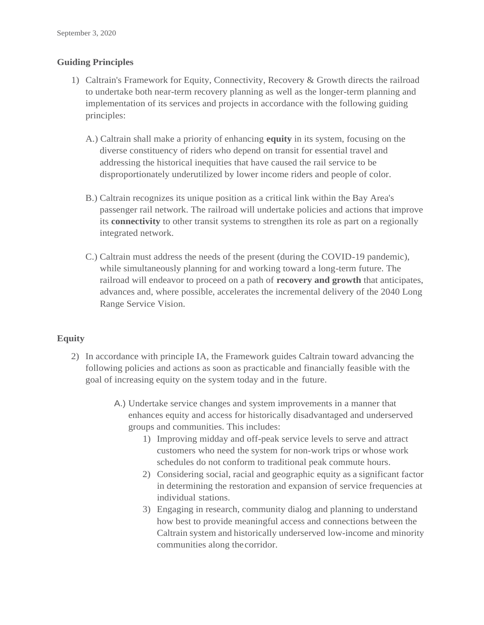## **Guiding Principles**

- 1) Caltrain's Framework for Equity, Connectivity, Recovery & Growth directs the railroad to undertake both near-term recovery planning as well as the longer-term planning and implementation of its services and projects in accordance with the following guiding principles:
	- A.) Caltrain shall make a priority of enhancing **equity** in its system, focusing on the diverse constituency of riders who depend on transit for essential travel and addressing the historical inequities that have caused the rail service to be disproportionately underutilized by lower income riders and people of color.
	- B.) Caltrain recognizes its unique position as a critical link within the Bay Area's passenger rail network. The railroad will undertake policies and actions that improve its **connectivity** to other transit systems to strengthen its role as part on a regionally integrated network.
	- C.) Caltrain must address the needs of the present (during the COVID-19 pandemic), while simultaneously planning for and working toward a long-term future. The railroad will endeavor to proceed on a path of **recovery and growth** that anticipates, advances and, where possible, accelerates the incremental delivery of the 2040 Long Range Service Vision.

## **Equity**

- 2) In accordance with principle IA, the Framework guides Caltrain toward advancing the following policies and actions as soon as practicable and financially feasible with the goal of increasing equity on the system today and in the future.
	- A.) Undertake service changes and system improvements in a manner that enhances equity and access for historically disadvantaged and underserved groups and communities. This includes:
		- 1) Improving midday and off-peak service levels to serve and attract customers who need the system for non-work trips or whose work schedules do not conform to traditional peak commute hours.
		- 2) Considering social, racial and geographic equity as a significant factor in determining the restoration and expansion of service frequencies at individual stations.
		- 3) Engaging in research, community dialog and planning to understand how best to provide meaningful access and connections between the Caltrain system and historically underserved low-income and minority communities along thecorridor.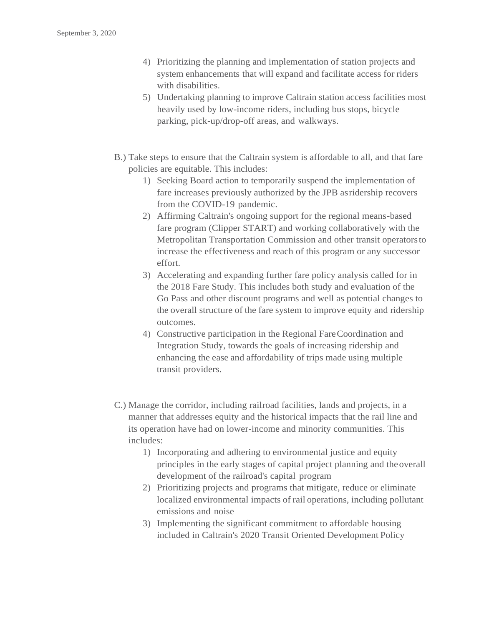- 4) Prioritizing the planning and implementation of station projects and system enhancements that will expand and facilitate access for riders with disabilities.
- 5) Undertaking planning to improve Caltrain station access facilities most heavily used by low-income riders, including bus stops, bicycle parking, pick-up/drop-off areas, and walkways.
- B.) Take steps to ensure that the Caltrain system is affordable to all, and that fare policies are equitable. This includes:
	- 1) Seeking Board action to temporarily suspend the implementation of fare increases previously authorized by the JPB asridership recovers from the COVID-19 pandemic.
	- 2) Affirming Caltrain's ongoing support for the regional means-based fare program (Clipper START) and working collaboratively with the Metropolitan Transportation Commission and other transit operatorsto increase the effectiveness and reach of this program or any successor effort.
	- 3) Accelerating and expanding further fare policy analysis called for in the 2018 Fare Study. This includes both study and evaluation of the Go Pass and other discount programs and well as potential changes to the overall structure of the fare system to improve equity and ridership outcomes.
	- 4) Constructive participation in the Regional FareCoordination and Integration Study, towards the goals of increasing ridership and enhancing the ease and affordability of trips made using multiple transit providers.
- C.) Manage the corridor, including railroad facilities, lands and projects, in a manner that addresses equity and the historical impacts that the rail line and its operation have had on lower-income and minority communities. This includes:
	- 1) Incorporating and adhering to environmental justice and equity principles in the early stages of capital project planning and theoverall development of the railroad's capital program
	- 2) Prioritizing projects and programs that mitigate, reduce or eliminate localized environmental impacts of rail operations, including pollutant emissions and noise
	- 3) Implementing the significant commitment to affordable housing included in Caltrain's 2020 Transit Oriented Development Policy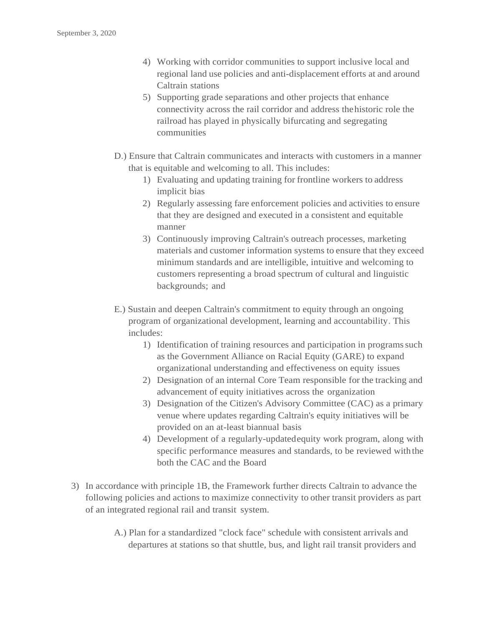- 4) Working with corridor communities to support inclusive local and regional land use policies and anti-displacement efforts at and around Caltrain stations
- 5) Supporting grade separations and other projects that enhance connectivity across the rail corridor and address thehistoric role the railroad has played in physically bifurcating and segregating communities
- D.) Ensure that Caltrain communicates and interacts with customers in a manner that is equitable and welcoming to all. This includes:
	- 1) Evaluating and updating training for frontline workers to address implicit bias
	- 2) Regularly assessing fare enforcement policies and activities to ensure that they are designed and executed in a consistent and equitable manner
	- 3) Continuously improving Caltrain's outreach processes, marketing materials and customer information systems to ensure that they exceed minimum standards and are intelligible, intuitive and welcoming to customers representing a broad spectrum of cultural and linguistic backgrounds; and
- E.) Sustain and deepen Caltrain's commitment to equity through an ongoing program of organizational development, learning and accountability. This includes:
	- 1) Identification of training resources and participation in programs such as the Government Alliance on Racial Equity (GARE) to expand organizational understanding and effectiveness on equity issues
	- 2) Designation of an internal Core Team responsible for the tracking and advancement of equity initiatives across the organization
	- 3) Designation of the Citizen's Advisory Committee (CAC) as a primary venue where updates regarding Caltrain's equity initiatives will be provided on an at-least biannual basis
	- 4) Development of a regularly-updatedequity work program, along with specific performance measures and standards, to be reviewed with the both the CAC and the Board
- 3) In accordance with principle 1B, the Framework further directs Caltrain to advance the following policies and actions to maximize connectivity to other transit providers as part of an integrated regional rail and transit system.
	- A.) Plan for a standardized "clock face" schedule with consistent arrivals and departures at stations so that shuttle, bus, and light rail transit providers and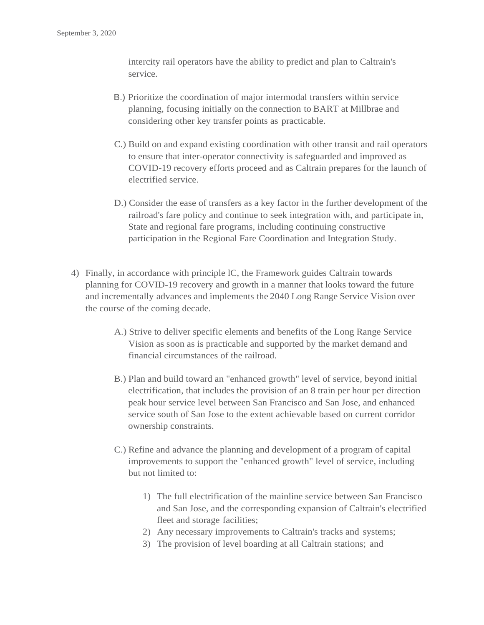intercity rail operators have the ability to predict and plan to Caltrain's service.

- B.) Prioritize the coordination of major intermodal transfers within service planning, focusing initially on the connection to BART at Millbrae and considering other key transfer points as practicable.
- C.) Build on and expand existing coordination with other transit and rail operators to ensure that inter-operator connectivity is safeguarded and improved as COVID-19 recovery efforts proceed and as Caltrain prepares for the launch of electrified service.
- D.) Consider the ease of transfers as a key factor in the further development of the railroad's fare policy and continue to seek integration with, and participate in, State and regional fare programs, including continuing constructive participation in the Regional Fare Coordination and Integration Study.
- 4) Finally, in accordance with principle lC, the Framework guides Caltrain towards planning for COVID-19 recovery and growth in a manner that looks toward the future and incrementally advances and implements the 2040 Long Range Service Vision over the course of the coming decade.
	- A.) Strive to deliver specific elements and benefits of the Long Range Service Vision as soon as is practicable and supported by the market demand and financial circumstances of the railroad.
	- B.) Plan and build toward an "enhanced growth" level of service, beyond initial electrification, that includes the provision of an 8 train per hour per direction peak hour service level between San Francisco and San Jose, and enhanced service south of San Jose to the extent achievable based on current corridor ownership constraints.
	- C.) Refine and advance the planning and development of a program of capital improvements to support the "enhanced growth" level of service, including but not limited to:
		- 1) The full electrification of the mainline service between San Francisco and San Jose, and the corresponding expansion of Caltrain's electrified fleet and storage facilities;
		- 2) Any necessary improvements to Caltrain's tracks and systems;
		- 3) The provision of level boarding at all Caltrain stations; and